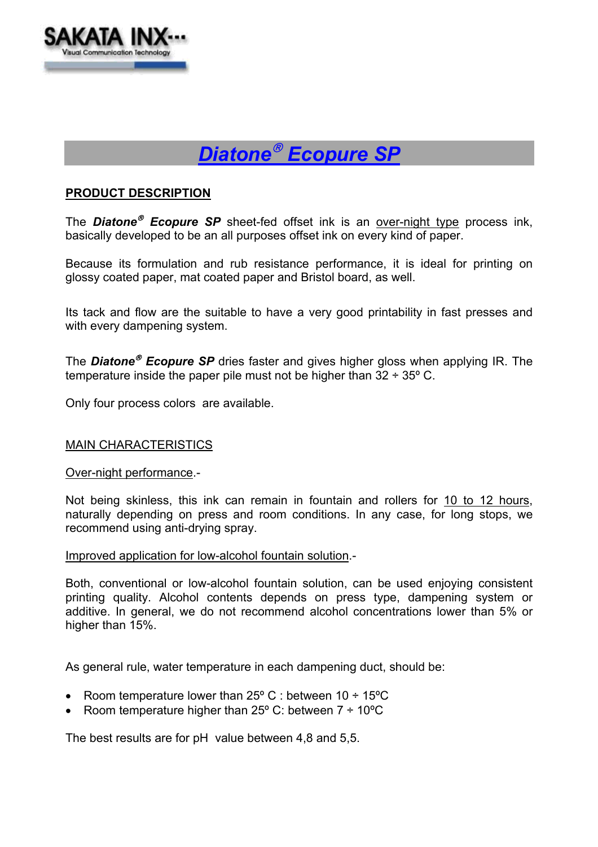



## **PRODUCT DESCRIPTION**

The **Diatone<sup>®</sup> Ecopure SP** sheet-fed offset ink is an over-night type process ink, basically developed to be an all purposes offset ink on every kind of paper.

Because its formulation and rub resistance performance, it is ideal for printing on glossy coated paper, mat coated paper and Bristol board, as well.

Its tack and flow are the suitable to have a very good printability in fast presses and with every dampening system.

The **Diatone<sup>®</sup> Ecopure SP** dries faster and gives higher gloss when applying IR. The temperature inside the paper pile must not be higher than  $32 \div 35^{\circ}$  C.

Only four process colors are available.

# MAIN CHARACTERISTICS

### Over-night performance.-

Not being skinless, this ink can remain in fountain and rollers for 10 to 12 hours, naturally depending on press and room conditions. In any case, for long stops, we recommend using anti-drying spray.

### Improved application for low-alcohol fountain solution.-

Both, conventional or low-alcohol fountain solution, can be used enjoying consistent printing quality. Alcohol contents depends on press type, dampening system or additive. In general, we do not recommend alcohol concentrations lower than 5% or higher than 15%.

As general rule, water temperature in each dampening duct, should be:

- Room temperature lower than  $25^{\circ}$  C : between  $10 \div 15^{\circ}$ C
- Room temperature higher than  $25^{\circ}$  C: between  $7 \div 10^{\circ}$ C

The best results are for pH value between 4,8 and 5,5.